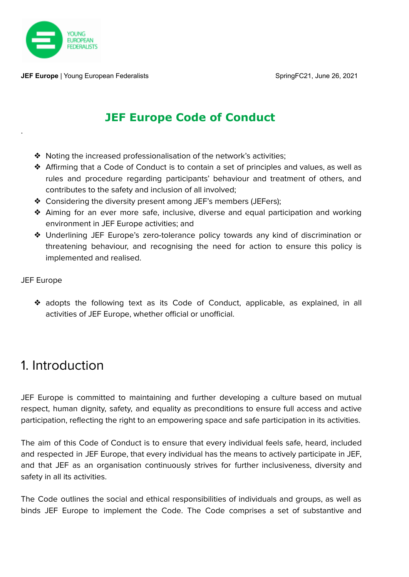

**JEF Europe** | Young European Federalists SpringFC21, June 26, 2021

#### **JEF Europe Code of Conduct**

- ❖ Noting the increased professionalisation of the network's activities;
- ❖ Affirming that a Code of Conduct is to contain a set of principles and values, as well as rules and procedure regarding participants' behaviour and treatment of others, and contributes to the safety and inclusion of all involved;
- ❖ Considering the diversity present among JEF's members (JEFers);
- ❖ Aiming for an ever more safe, inclusive, diverse and equal participation and working environment in JEF Europe activities; and
- ❖ Underlining JEF Europe's zero-tolerance policy towards any kind of discrimination or threatening behaviour, and recognising the need for action to ensure this policy is implemented and realised.

#### JEF Europe

.

❖ adopts the following text as its Code of Conduct, applicable, as explained, in all activities of JEF Europe, whether official or unofficial.

# 1. Introduction

JEF Europe is committed to maintaining and further developing a culture based on mutual respect, human dignity, safety, and equality as preconditions to ensure full access and active participation, reflecting the right to an empowering space and safe participation in its activities.

The aim of this Code of Conduct is to ensure that every individual feels safe, heard, included and respected in JEF Europe, that every individual has the means to actively participate in JEF, and that JEF as an organisation continuously strives for further inclusiveness, diversity and safety in all its activities.

The Code outlines the social and ethical responsibilities of individuals and groups, as well as binds JEF Europe to implement the Code. The Code comprises a set of substantive and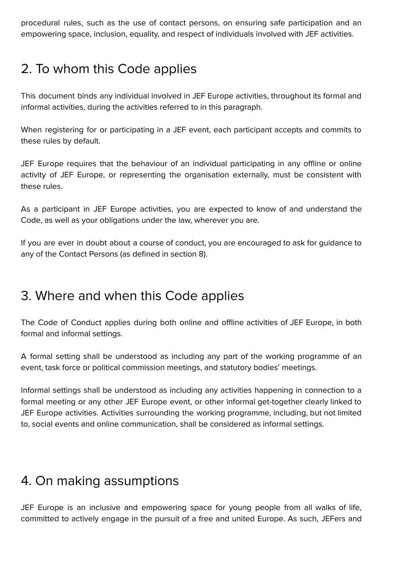procedural rules, such as the use of contact persons, on ensuring safe participation and an empowering space, inclusion, equality, and respect of individuals involved with JEF activities.

# 2. To whom this Code applies

This document binds any individual involved in JEF Europe activities, throughout its formal and informal activities, during the activities referred to in this paragraph.

When registering for or participating in a JEF event, each participant accepts and commits to these rules by default.

JEF Europe requires that the behaviour of an individual participating in any offline or online activity of JEF Europe, or representing the organisation externally, must be consistent with these rules.

As a participant in JEF Europe activities, you are expected to know of and understand the Code, as well as your obligations under the law, wherever you are.

If you are ever in doubt about a course of conduct, you are encouraged to ask for guidance to any of the Contact Persons (as defined in section 8).

#### 3. Where and when this Code applies

The Code of Conduct applies during both online and offline activities of JEF Europe, in both formal and informal settings.

A formal setting shall be understood as including any part of the working programme of an event, task force or political commission meetings, and statutory bodies' meetings.

Informal settings shall be understood as including any activities happening in connection to a formal meeting or any other JEF Europe event, or other informal get-together clearly linked to JEF Europe activities. Activities surrounding the working programme, including, but not limited to, social events and online communication, shall be considered as informal settings.

# 4. On making assumptions

JEF Europe is an inclusive and empowering space for young people from all walks of life, committed to actively engage in the pursuit of a free and united Europe. As such, JEFers and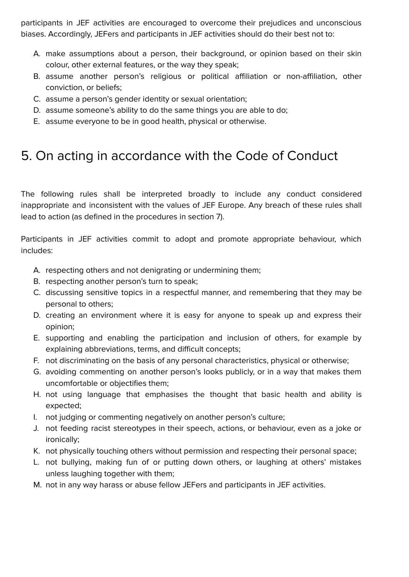participants in JEF activities are encouraged to overcome their prejudices and unconscious biases. Accordingly, JEFers and participants in JEF activities should do their best not to:

- A. make assumptions about a person, their background, or opinion based on their skin colour, other external features, or the way they speak;
- B. assume another person's religious or political affiliation or non-affiliation, other conviction, or beliefs;
- C. assume a person's gender identity or sexual orientation;
- D. assume someone's ability to do the same things you are able to do;
- E. assume everyone to be in good health, physical or otherwise.

# 5. On acting in accordance with the Code of Conduct

The following rules shall be interpreted broadly to include any conduct considered inappropriate and inconsistent with the values of JEF Europe. Any breach of these rules shall lead to action (as defined in the procedures in section 7).

Participants in JEF activities commit to adopt and promote appropriate behaviour, which includes:

- A. respecting others and not denigrating or undermining them;
- B. respecting another person's turn to speak;
- C. discussing sensitive topics in a respectful manner, and remembering that they may be personal to others;
- D. creating an environment where it is easy for anyone to speak up and express their opinion;
- E. supporting and enabling the participation and inclusion of others, for example by explaining abbreviations, terms, and difficult concepts;
- F. not discriminating on the basis of any personal characteristics, physical or otherwise;
- G. avoiding commenting on another person's looks publicly, or in a way that makes them uncomfortable or objectifies them;
- H. not using language that emphasises the thought that basic health and ability is expected;
- I. not judging or commenting negatively on another person's culture;
- J. not feeding racist stereotypes in their speech, actions, or behaviour, even as a joke or ironically;
- K. not physically touching others without permission and respecting their personal space;
- L. not bullying, making fun of or putting down others, or laughing at others' mistakes unless laughing together with them;
- M. not in any way harass or abuse fellow JEFers and participants in JEF activities.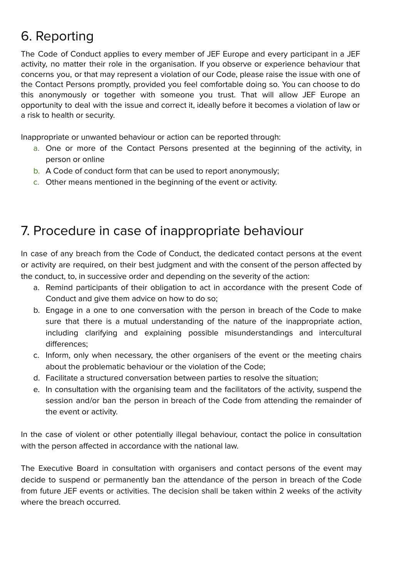# 6. Reporting

The Code of Conduct applies to every member of JEF Europe and every participant in a JEF activity, no matter their role in the organisation. If you observe or experience behaviour that concerns you, or that may represent a violation of our Code, please raise the issue with one of the Contact Persons promptly, provided you feel comfortable doing so. You can choose to do this anonymously or together with someone you trust. That will allow JEF Europe an opportunity to deal with the issue and correct it, ideally before it becomes a violation of law or a risk to health or security.

Inappropriate or unwanted behaviour or action can be reported through:

- a. One or more of the Contact Persons presented at the beginning of the activity, in person or online
- b. A Code of conduct form that can be used to report anonymously;
- c. Other means mentioned in the beginning of the event or activity.

#### 7. Procedure in case of inappropriate behaviour

In case of any breach from the Code of Conduct, the dedicated contact persons at the event or activity are required, on their best judgment and with the consent of the person affected by the conduct, to, in successive order and depending on the severity of the action:

- a. Remind participants of their obligation to act in accordance with the present Code of Conduct and give them advice on how to do so;
- b. Engage in a one to one conversation with the person in breach of the Code to make sure that there is a mutual understanding of the nature of the inappropriate action, including clarifying and explaining possible misunderstandings and intercultural differences;
- c. Inform, only when necessary, the other organisers of the event or the meeting chairs about the problematic behaviour or the violation of the Code;
- d. Facilitate a structured conversation between parties to resolve the situation;
- e. In consultation with the organising team and the facilitators of the activity, suspend the session and/or ban the person in breach of the Code from attending the remainder of the event or activity.

In the case of violent or other potentially illegal behaviour, contact the police in consultation with the person affected in accordance with the national law.

The Executive Board in consultation with organisers and contact persons of the event may decide to suspend or permanently ban the attendance of the person in breach of the Code from future JEF events or activities. The decision shall be taken within 2 weeks of the activity where the breach occurred.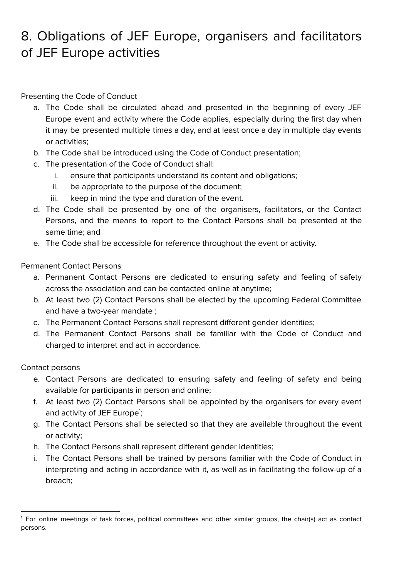# 8. Obligations of JEF Europe, organisers and facilitators of JEF Europe activities

Presenting the Code of Conduct

- a. The Code shall be circulated ahead and presented in the beginning of every JEF Europe event and activity where the Code applies, especially during the first day when it may be presented multiple times a day, and at least once a day in multiple day events or activities;
- b. The Code shall be introduced using the Code of Conduct presentation;
- c. The presentation of the Code of Conduct shall:
	- i. ensure that participants understand its content and obligations;
	- ii. be appropriate to the purpose of the document;
	- iii. keep in mind the type and duration of the event.
- d. The Code shall be presented by one of the organisers, facilitators, or the Contact Persons, and the means to report to the Contact Persons shall be presented at the same time; and
- e. The Code shall be accessible for reference throughout the event or activity.

Permanent Contact Persons

- a. Permanent Contact Persons are dedicated to ensuring safety and feeling of safety across the association and can be contacted online at anytime;
- b. At least two (2) Contact Persons shall be elected by the upcoming Federal Committee and have a two-year mandate ;
- c. The Permanent Contact Persons shall represent different gender identities;
- d. The Permanent Contact Persons shall be familiar with the Code of Conduct and charged to interpret and act in accordance.

Contact persons

- e. Contact Persons are dedicated to ensuring safety and feeling of safety and being available for participants in person and online;
- f. At least two (2) Contact Persons shall be appointed by the organisers for every event and activity of JEF Europe<sup>1</sup>;
- g. The Contact Persons shall be selected so that they are available throughout the event or activity;
- h. The Contact Persons shall represent different gender identities;
- i. The Contact Persons shall be trained by persons familiar with the Code of Conduct in interpreting and acting in accordance with it, as well as in facilitating the follow-up of a breach;

<sup>1</sup> For online meetings of task forces, political committees and other similar groups, the chair(s) act as contact persons.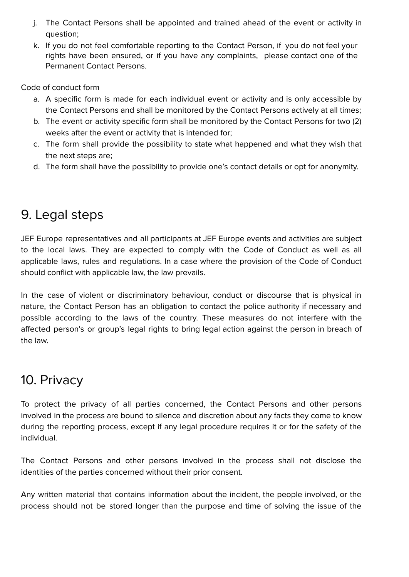- j. The Contact Persons shall be appointed and trained ahead of the event or activity in question;
- k. If you do not feel comfortable reporting to the Contact Person, if you do not feel your rights have been ensured, or if you have any complaints, please contact one of the Permanent Contact Persons.

Code of conduct form

- a. A specific form is made for each individual event or activity and is only accessible by the Contact Persons and shall be monitored by the Contact Persons actively at all times;
- b. The event or activity specific form shall be monitored by the Contact Persons for two (2) weeks after the event or activity that is intended for;
- c. The form shall provide the possibility to state what happened and what they wish that the next steps are;
- d. The form shall have the possibility to provide one's contact details or opt for anonymity.

# 9. Legal steps

JEF Europe representatives and all participants at JEF Europe events and activities are subject to the local laws. They are expected to comply with the Code of Conduct as well as all applicable laws, rules and regulations. In a case where the provision of the Code of Conduct should conflict with applicable law, the law prevails.

In the case of violent or discriminatory behaviour, conduct or discourse that is physical in nature, the Contact Person has an obligation to contact the police authority if necessary and possible according to the laws of the country. These measures do not interfere with the affected person's or group's legal rights to bring legal action against the person in breach of the law.

# 10. Privacy

To protect the privacy of all parties concerned, the Contact Persons and other persons involved in the process are bound to silence and discretion about any facts they come to know during the reporting process, except if any legal procedure requires it or for the safety of the individual.

The Contact Persons and other persons involved in the process shall not disclose the identities of the parties concerned without their prior consent.

Any written material that contains information about the incident, the people involved, or the process should not be stored longer than the purpose and time of solving the issue of the